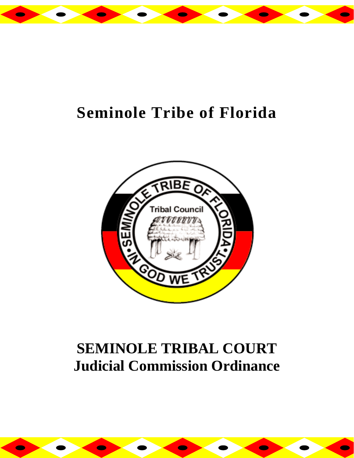

# **Seminole Tribe of Florida**



## **SEMINOLE TRIBAL COURT Judicial Commission Ordinance**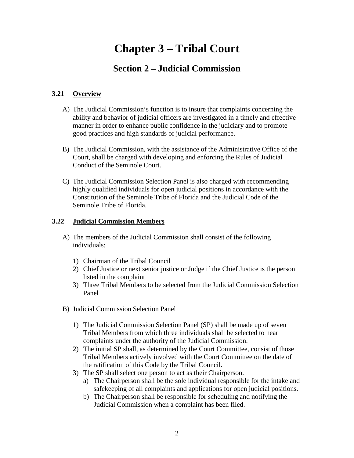### **Chapter 3 – Tribal Court**

### **Section 2 – Judicial Commission**

#### **3.21 Overview**

- A) The Judicial Commission's function is to insure that complaints concerning the ability and behavior of judicial officers are investigated in a timely and effective manner in order to enhance public confidence in the judiciary and to promote good practices and high standards of judicial performance.
- B) The Judicial Commission, with the assistance of the Administrative Office of the Court, shall be charged with developing and enforcing the Rules of Judicial Conduct of the Seminole Court.
- C) The Judicial Commission Selection Panel is also charged with recommending highly qualified individuals for open judicial positions in accordance with the Constitution of the Seminole Tribe of Florida and the Judicial Code of the Seminole Tribe of Florida.

#### **3.22 Judicial Commission Members**

- A) The members of the Judicial Commission shall consist of the following individuals:
	- 1) Chairman of the Tribal Council
	- 2) Chief Justice or next senior justice or Judge if the Chief Justice is the person listed in the complaint
	- 3) Three Tribal Members to be selected from the Judicial Commission Selection Panel
- B) Judicial Commission Selection Panel
	- 1) The Judicial Commission Selection Panel (SP) shall be made up of seven Tribal Members from which three individuals shall be selected to hear complaints under the authority of the Judicial Commission.
	- 2) The initial SP shall, as determined by the Court Committee, consist of those Tribal Members actively involved with the Court Committee on the date of the ratification of this Code by the Tribal Council.
	- 3) The SP shall select one person to act as their Chairperson.
		- a) The Chairperson shall be the sole individual responsible for the intake and safekeeping of all complaints and applications for open judicial positions.
		- b) The Chairperson shall be responsible for scheduling and notifying the Judicial Commission when a complaint has been filed.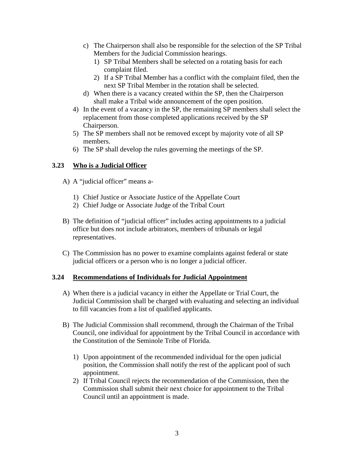- c) The Chairperson shall also be responsible for the selection of the SP Tribal Members for the Judicial Commission hearings.
	- 1) SP Tribal Members shall be selected on a rotating basis for each complaint filed.
	- 2) If a SP Tribal Member has a conflict with the complaint filed, then the next SP Tribal Member in the rotation shall be selected.
- d) When there is a vacancy created within the SP, then the Chairperson shall make a Tribal wide announcement of the open position.
- 4) In the event of a vacancy in the SP, the remaining SP members shall select the replacement from those completed applications received by the SP Chairperson.
- 5) The SP members shall not be removed except by majority vote of all SP members.
- 6) The SP shall develop the rules governing the meetings of the SP.

#### **3.23 Who is a Judicial Officer**

- A) A "judicial officer" means a-
	- 1) Chief Justice or Associate Justice of the Appellate Court
	- 2) Chief Judge or Associate Judge of the Tribal Court
- B) The definition of "judicial officer" includes acting appointments to a judicial office but does not include arbitrators, members of tribunals or legal representatives.
- C) The Commission has no power to examine complaints against federal or state judicial officers or a person who is no longer a judicial officer.

#### **3.24 Recommendations of Individuals for Judicial Appointment**

- A) When there is a judicial vacancy in either the Appellate or Trial Court, the Judicial Commission shall be charged with evaluating and selecting an individual to fill vacancies from a list of qualified applicants.
- B) The Judicial Commission shall recommend, through the Chairman of the Tribal Council, one individual for appointment by the Tribal Council in accordance with the Constitution of the Seminole Tribe of Florida.
	- 1) Upon appointment of the recommended individual for the open judicial position, the Commission shall notify the rest of the applicant pool of such appointment.
	- 2) If Tribal Council rejects the recommendation of the Commission, then the Commission shall submit their next choice for appointment to the Tribal Council until an appointment is made.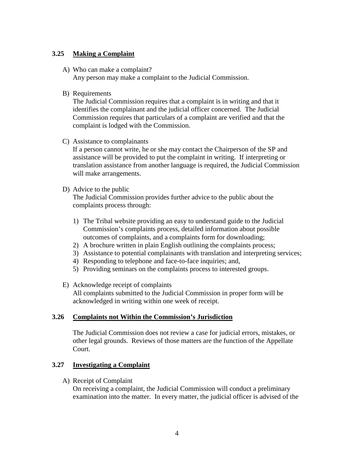#### **3.25 Making a Complaint**

- A) Who can make a complaint? Any person may make a complaint to the Judicial Commission.
- B) Requirements

The Judicial Commission requires that a complaint is in writing and that it identifies the complainant and the judicial officer concerned. The Judicial Commission requires that particulars of a complaint are verified and that the complaint is lodged with the Commission.

C) Assistance to complainants

If a person cannot write, he or she may contact the Chairperson of the SP and assistance will be provided to put the complaint in writing. If interpreting or translation assistance from another language is required, the Judicial Commission will make arrangements.

#### D) Advice to the public

The Judicial Commission provides further advice to the public about the complaints process through:

- 1) The Tribal website providing an easy to understand guide to the Judicial Commission's complaints process, detailed information about possible outcomes of complaints, and a complaints form for downloading;
- 2) A brochure written in plain English outlining the complaints process;
- 3) Assistance to potential complainants with translation and interpreting services;
- 4) Responding to telephone and face-to-face inquiries; and,
- 5) Providing seminars on the complaints process to interested groups.
- E) Acknowledge receipt of complaints All complaints submitted to the Judicial Commission in proper form will be acknowledged in writing within one week of receipt.

#### **3.26 Complaints not Within the Commission's Jurisdiction**

The Judicial Commission does not review a case for judicial errors, mistakes, or other legal grounds. Reviews of those matters are the function of the Appellate Court.

#### **3.27 Investigating a Complaint**

A) Receipt of Complaint

On receiving a complaint, the Judicial Commission will conduct a preliminary examination into the matter. In every matter, the judicial officer is advised of the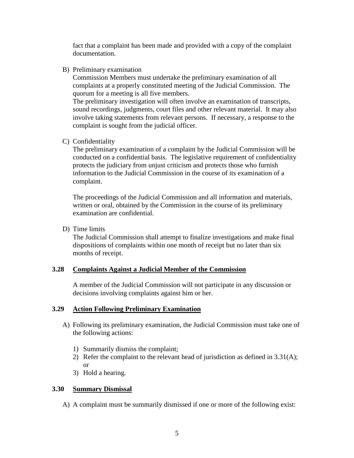fact that a complaint has been made and provided with a copy of the complaint documentation.

B) Preliminary examination

Commission Members must undertake the preliminary examination of all complaints at a properly constituted meeting of the Judicial Commission. The quorum for a meeting is all five members.

The preliminary investigation will often involve an examination of transcripts, sound recordings, judgments, court files and other relevant material. It may also involve taking statements from relevant persons. If necessary, a response to the complaint is sought from the judicial officer.

C) Confidentiality

The preliminary examination of a complaint by the Judicial Commission will be conducted on a confidential basis. The legislative requirement of confidentiality protects the judiciary from unjust criticism and protects those who furnish information to the Judicial Commission in the course of its examination of a complaint.

The proceedings of the Judicial Commission and all information and materials, written or oral, obtained by the Commission in the course of its preliminary examination are confidential.

D) Time limits

The Judicial Commission shall attempt to finalize investigations and make final dispositions of complaints within one month of receipt but no later than six months of receipt.

#### **3.28 Complaints Against a Judicial Member of the Commission**

A member of the Judicial Commission will not participate in any discussion or decisions involving complaints against him or her.

#### **3.29 Action Following Preliminary Examination**

- A) Following its preliminary examination, the Judicial Commission must take one of the following actions:
	- 1) Summarily dismiss the complaint;
	- 2) Refer the complaint to the relevant head of jurisdiction as defined in 3.31(A); or
	- 3) Hold a hearing.

#### **3.30 Summary Dismissal**

A) A complaint must be summarily dismissed if one or more of the following exist: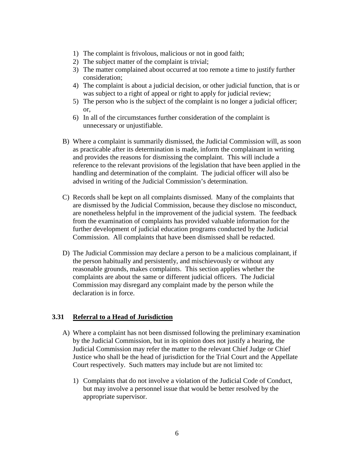- 1) The complaint is frivolous, malicious or not in good faith;
- 2) The subject matter of the complaint is trivial;
- 3) The matter complained about occurred at too remote a time to justify further consideration;
- 4) The complaint is about a judicial decision, or other judicial function, that is or was subject to a right of appeal or right to apply for judicial review;
- 5) The person who is the subject of the complaint is no longer a judicial officer; or,
- 6) In all of the circumstances further consideration of the complaint is unnecessary or unjustifiable.
- B) Where a complaint is summarily dismissed, the Judicial Commission will, as soon as practicable after its determination is made, inform the complainant in writing and provides the reasons for dismissing the complaint. This will include a reference to the relevant provisions of the legislation that have been applied in the handling and determination of the complaint. The judicial officer will also be advised in writing of the Judicial Commission's determination.
- C) Records shall be kept on all complaints dismissed. Many of the complaints that are dismissed by the Judicial Commission, because they disclose no misconduct, are nonetheless helpful in the improvement of the judicial system. The feedback from the examination of complaints has provided valuable information for the further development of judicial education programs conducted by the Judicial Commission. All complaints that have been dismissed shall be redacted.
- D) The Judicial Commission may declare a person to be a malicious complainant, if the person habitually and persistently, and mischievously or without any reasonable grounds, makes complaints. This section applies whether the complaints are about the same or different judicial officers. The Judicial Commission may disregard any complaint made by the person while the declaration is in force.

#### **3.31 Referral to a Head of Jurisdiction**

- A) Where a complaint has not been dismissed following the preliminary examination by the Judicial Commission, but in its opinion does not justify a hearing, the Judicial Commission may refer the matter to the relevant Chief Judge or Chief Justice who shall be the head of jurisdiction for the Trial Court and the Appellate Court respectively. Such matters may include but are not limited to:
	- 1) Complaints that do not involve a violation of the Judicial Code of Conduct, but may involve a personnel issue that would be better resolved by the appropriate supervisor.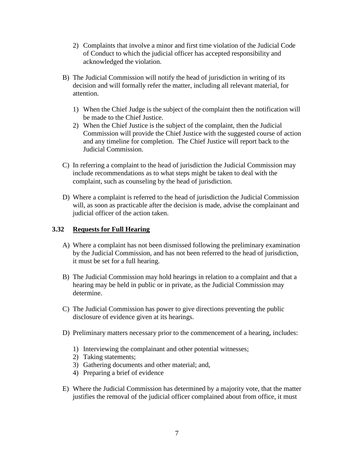- 2) Complaints that involve a minor and first time violation of the Judicial Code of Conduct to which the judicial officer has accepted responsibility and acknowledged the violation.
- B) The Judicial Commission will notify the head of jurisdiction in writing of its decision and will formally refer the matter, including all relevant material, for attention.
	- 1) When the Chief Judge is the subject of the complaint then the notification will be made to the Chief Justice.
	- 2) When the Chief Justice is the subject of the complaint, then the Judicial Commission will provide the Chief Justice with the suggested course of action and any timeline for completion. The Chief Justice will report back to the Judicial Commission.
- C) In referring a complaint to the head of jurisdiction the Judicial Commission may include recommendations as to what steps might be taken to deal with the complaint, such as counseling by the head of jurisdiction.
- D) Where a complaint is referred to the head of jurisdiction the Judicial Commission will, as soon as practicable after the decision is made, advise the complainant and judicial officer of the action taken.

#### **3.32 Requests for Full Hearing**

- A) Where a complaint has not been dismissed following the preliminary examination by the Judicial Commission, and has not been referred to the head of jurisdiction, it must be set for a full hearing.
- B) The Judicial Commission may hold hearings in relation to a complaint and that a hearing may be held in public or in private, as the Judicial Commission may determine.
- C) The Judicial Commission has power to give directions preventing the public disclosure of evidence given at its hearings.
- D) Preliminary matters necessary prior to the commencement of a hearing, includes:
	- 1) Interviewing the complainant and other potential witnesses;
	- 2) Taking statements;
	- 3) Gathering documents and other material; and,
	- 4) Preparing a brief of evidence
- E) Where the Judicial Commission has determined by a majority vote, that the matter justifies the removal of the judicial officer complained about from office, it must